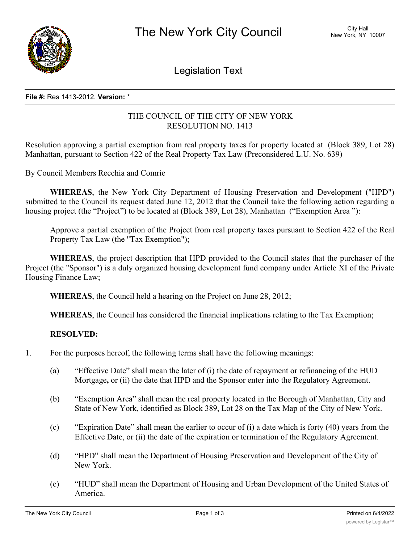

Legislation Text

#### **File #:** Res 1413-2012, **Version:** \*

# THE COUNCIL OF THE CITY OF NEW YORK RESOLUTION NO. 1413

Resolution approving a partial exemption from real property taxes for property located at (Block 389, Lot 28) Manhattan, pursuant to Section 422 of the Real Property Tax Law (Preconsidered L.U. No. 639)

By Council Members Recchia and Comrie

**WHEREAS**, the New York City Department of Housing Preservation and Development ("HPD") submitted to the Council its request dated June 12, 2012 that the Council take the following action regarding a housing project (the "Project") to be located at (Block 389, Lot 28), Manhattan ("Exemption Area"):

Approve a partial exemption of the Project from real property taxes pursuant to Section 422 of the Real Property Tax Law (the "Tax Exemption");

**WHEREAS**, the project description that HPD provided to the Council states that the purchaser of the Project (the "Sponsor") is a duly organized housing development fund company under Article XI of the Private Housing Finance Law;

**WHEREAS**, the Council held a hearing on the Project on June 28, 2012;

**WHEREAS**, the Council has considered the financial implications relating to the Tax Exemption;

## **RESOLVED:**

- 1. For the purposes hereof, the following terms shall have the following meanings:
	- (a) "Effective Date" shall mean the later of (i) the date of repayment or refinancing of the HUD Mortgage**,** or (ii) the date that HPD and the Sponsor enter into the Regulatory Agreement.
	- (b) "Exemption Area" shall mean the real property located in the Borough of Manhattan, City and State of New York, identified as Block 389, Lot 28 on the Tax Map of the City of New York.
	- (c) "Expiration Date" shall mean the earlier to occur of (i) a date which is forty (40) years from the Effective Date, or (ii) the date of the expiration or termination of the Regulatory Agreement.
	- (d) "HPD" shall mean the Department of Housing Preservation and Development of the City of New York.
	- (e) "HUD" shall mean the Department of Housing and Urban Development of the United States of America.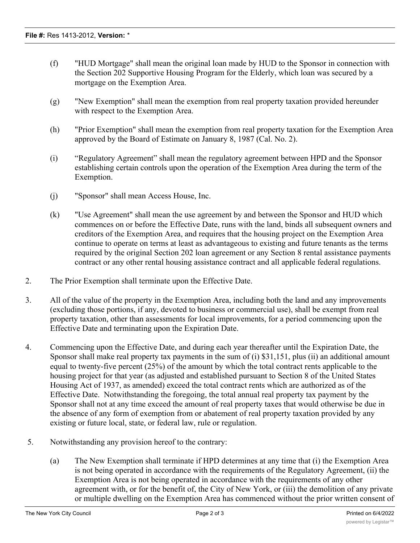- (f) "HUD Mortgage" shall mean the original loan made by HUD to the Sponsor in connection with the Section 202 Supportive Housing Program for the Elderly, which loan was secured by a mortgage on the Exemption Area.
- (g) "New Exemption" shall mean the exemption from real property taxation provided hereunder with respect to the Exemption Area.
- (h) "Prior Exemption" shall mean the exemption from real property taxation for the Exemption Area approved by the Board of Estimate on January 8, 1987 (Cal. No. 2).
- (i) "Regulatory Agreement" shall mean the regulatory agreement between HPD and the Sponsor establishing certain controls upon the operation of the Exemption Area during the term of the Exemption.
- (j) "Sponsor" shall mean Access House, Inc.
- (k) "Use Agreement" shall mean the use agreement by and between the Sponsor and HUD which commences on or before the Effective Date, runs with the land, binds all subsequent owners and creditors of the Exemption Area, and requires that the housing project on the Exemption Area continue to operate on terms at least as advantageous to existing and future tenants as the terms required by the original Section 202 loan agreement or any Section 8 rental assistance payments contract or any other rental housing assistance contract and all applicable federal regulations.
- 2. The Prior Exemption shall terminate upon the Effective Date.
- 3. All of the value of the property in the Exemption Area, including both the land and any improvements (excluding those portions, if any, devoted to business or commercial use), shall be exempt from real property taxation, other than assessments for local improvements, for a period commencing upon the Effective Date and terminating upon the Expiration Date.
- 4. Commencing upon the Effective Date, and during each year thereafter until the Expiration Date, the Sponsor shall make real property tax payments in the sum of (i) \$31,151, plus (ii) an additional amount equal to twenty-five percent (25%) of the amount by which the total contract rents applicable to the housing project for that year (as adjusted and established pursuant to Section 8 of the United States Housing Act of 1937, as amended) exceed the total contract rents which are authorized as of the Effective Date. Notwithstanding the foregoing, the total annual real property tax payment by the Sponsor shall not at any time exceed the amount of real property taxes that would otherwise be due in the absence of any form of exemption from or abatement of real property taxation provided by any existing or future local, state, or federal law, rule or regulation.
- 5. Notwithstanding any provision hereof to the contrary:
	- (a) The New Exemption shall terminate if HPD determines at any time that (i) the Exemption Area is not being operated in accordance with the requirements of the Regulatory Agreement, (ii) the Exemption Area is not being operated in accordance with the requirements of any other agreement with, or for the benefit of, the City of New York, or (iii) the demolition of any private or multiple dwelling on the Exemption Area has commenced without the prior written consent of